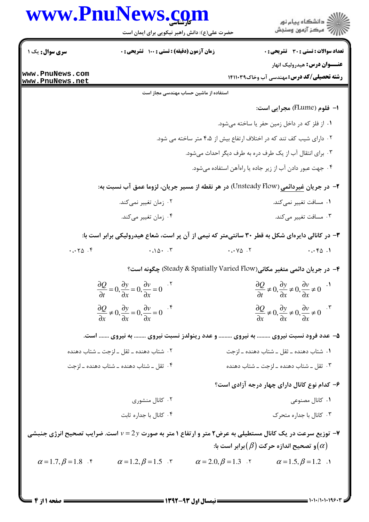|                               | www.PnuNews.com                                                                                                             |                                                                      |                                                                                                                            |
|-------------------------------|-----------------------------------------------------------------------------------------------------------------------------|----------------------------------------------------------------------|----------------------------------------------------------------------------------------------------------------------------|
|                               | حضرت علی(ع): دانش راهبر نیکویی برای ایمان است                                                                               |                                                                      | ڪ دانشڪاه پيام نور<br>∕7 مرڪز آزمون وسنڊش                                                                                  |
| سری سوال: یک ۱                | زمان آزمون (دقیقه) : تستی : 100 تشریحی : 0                                                                                  |                                                                      | <b>تعداد سوالات : تستي : 30 ٪ تشريحي : 0</b>                                                                               |
| www.PnuNews.com               |                                                                                                                             |                                                                      | <b>عنـــوان درس:</b> هيدروليک انهار                                                                                        |
| www.PnuNews.net               |                                                                                                                             |                                                                      | <b>رشته تحصیلی/کد درس:</b> مهندسی آب وخاک14110 14                                                                          |
|                               |                                                                                                                             | استفاده از ماشین حساب مهندسی مجاز است                                |                                                                                                                            |
|                               |                                                                                                                             |                                                                      | ا- فلوم (FLume) مجرايي است:                                                                                                |
|                               |                                                                                                                             |                                                                      | ۰۱ از فلز که در داخل زمین حفر یا ساخته میشود.                                                                              |
|                               |                                                                                                                             | ۰۲ دارای شیب کف تند که در اختلاف ارتفاع بیش از ۴،۵ متر ساخته می شود. |                                                                                                                            |
|                               |                                                                                                                             | ۰۳ برای انتقال آب از یک طرف دره به طرف دیگر احداث میشود.             |                                                                                                                            |
|                               |                                                                                                                             |                                                                      | ۰۴ جهت عبور دادن آب از زیر جاده یا راهآهن استفاده میشود.                                                                   |
|                               | ۲- در جریان غیردائمی (Unsteady Flow) در هر نقطه از مسیر جریان، لزوما عمق آب نسبت به:                                        |                                                                      |                                                                                                                            |
|                               | ۰۲ زمان تغییر نمیکند.                                                                                                       |                                                                      | ۰۱ مسافت تغییر نمیکند.                                                                                                     |
|                               | ۰۴ زمان تغییر میکند.                                                                                                        |                                                                      | ۰۳ مسافت تغییر میکند.                                                                                                      |
|                               | ۳- در کانالی دایرهای شکل به قطر ۳۰ سانتیمتر که نیمی از آن پر است، شعاع هیدرولیکی برابر است با:                              |                                                                      |                                                                                                                            |
| .0000                         | $\cdot \cdot \cdot \cdot$                                                                                                   | $\cdot \cdot \cdot \vee \vartriangle$ .                              | .0001                                                                                                                      |
|                               |                                                                                                                             |                                                                      | ۴- در جریان دائمی متغیر مکانی(Steady & Spatially Varied Flow) چگونه است؟                                                   |
|                               | $\frac{\partial Q}{\partial t} = 0$ , $\frac{\partial y}{\partial x} = 0$ , $\frac{\partial v}{\partial x} = 0$             |                                                                      | $\frac{\partial Q}{\partial t} \neq 0$ , $\frac{\partial y}{\partial x} \neq 0$ , $\frac{\partial v}{\partial x} \neq 0$ . |
|                               | $\frac{\partial Q}{\partial x} \neq 0$ , $\frac{\partial y}{\partial x} = 0$ , $\frac{\partial v}{\partial x} = 0$          |                                                                      | $\frac{\partial Q}{\partial x} \neq 0, \frac{\partial y}{\partial x} \neq 0, \frac{\partial v}{\partial x} \neq 0$         |
|                               | ۵– عدد فرود نسبت نیروی  به نیروی  و عدد رینولدز نسبت نیروی  به نیروی  است.                                                  |                                                                      |                                                                                                                            |
|                               | ۰۲ شتاب دهنده ــ ثقل ــ لزجت ــ شتاب دهنده                                                                                  |                                                                      | ۰۱ شتاب دهنده ــ ثقل ــ شتاب دهنده ــ لزجت                                                                                 |
|                               | ۰۴ ثقل ــ شتاب دهنده ــ شتاب دهنده ــ لزجت                                                                                  |                                                                      | ۰۳ ثقل ــ شتاب دهنده ــ لزجت ــ شتاب دهنده                                                                                 |
|                               |                                                                                                                             |                                                                      | ۶– کدام نوع کانال دارای چهار درجه آزادی است؟                                                                               |
|                               | ۰۲ کانال منشوری                                                                                                             |                                                                      | ۰۱ کانال مصنوعی                                                                                                            |
|                               | ۰۴ کانال با جداره ثابت                                                                                                      |                                                                      | ۰۳ کانال با جداره متحرک                                                                                                    |
|                               | وزیع سرعت در یک کانال مستطیلی به عرض۲ متر و ارتفاع ۱ متر به صورت $2y$ = ۷ است. ضرایب تصحیح انرژی جنبشی $\blacktriangledown$ |                                                                      |                                                                                                                            |
|                               |                                                                                                                             |                                                                      | و تصحیح اندازه حرکت $(\beta)$ برابر است با: $(\alpha)$                                                                     |
| $\alpha = 1.7, \beta = 1.8$ . | $\alpha = 1.2, \beta = 1.5$ .                                                                                               | $\alpha = 2.0, \beta = 1.3$ .                                        | $\alpha = 1.5, \beta = 1.2$ .                                                                                              |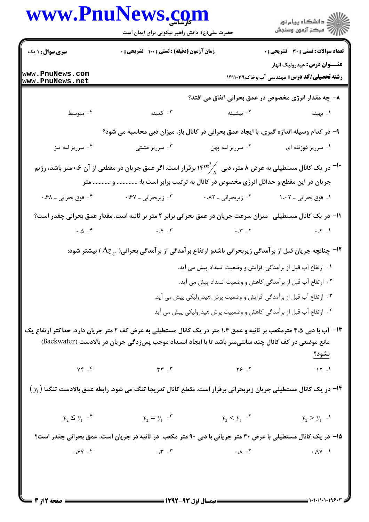|                                                                                                             | www.PnuNews.com<br>حضرت علی(ع): دانش راهبر نیکویی برای ایمان است                                                                                                                                                          |                                                                       | ڪ دانشڪاه پيام نور<br>//> مرڪز آزمون وسنڊش                                            |  |  |  |
|-------------------------------------------------------------------------------------------------------------|---------------------------------------------------------------------------------------------------------------------------------------------------------------------------------------------------------------------------|-----------------------------------------------------------------------|---------------------------------------------------------------------------------------|--|--|--|
| <b>سری سوال : ۱ یک</b>                                                                                      | زمان آزمون (دقیقه) : تستی : ۱۰۰٪ تشریحی : ۰                                                                                                                                                                               |                                                                       | <b>تعداد سوالات : تستی : 30 ٪ تشریحی : 0</b>                                          |  |  |  |
| www.PnuNews.com<br>www.PnuNews.net                                                                          |                                                                                                                                                                                                                           |                                                                       | <b>عنـــوان درس:</b> هیدرولیک انهار<br><b>رشته تحصیلی/کد درس:</b> مهندسی آب وخاک14113 |  |  |  |
|                                                                                                             |                                                                                                                                                                                                                           |                                                                       | ۸– چه مقدار انرژی مخصوص در عمق بحرانی اتفاق می افتد؟                                  |  |  |  |
| ۰۴ متوسط                                                                                                    | ۰۳ کمینه                                                                                                                                                                                                                  | ۰۲ بیشینه                                                             | ۰۱ بهینه                                                                              |  |  |  |
|                                                                                                             | ۹- در کدام وسیله اندازه گیری، با ایجاد عمق بحرانی در کانال باز، میزان دبی محاسبه می شود؟                                                                                                                                  |                                                                       |                                                                                       |  |  |  |
| ۰۴ سرريز لبه تيز                                                                                            | ۰۳ سرریز مثلثی                                                                                                                                                                                                            | ۰۲ سرريز لبه پهن                                                      | ۰۱ سرریز ذوزنقه ای                                                                    |  |  |  |
|                                                                                                             | در یک کانال مستطیلی به عرض ۸ متر، دبی $\genfrac{(}{)}{0pt}{}{ \mathcal{M}^{m}}$ ا برقرار است. اگر عمق جریان در مقطعی از آن ۰،۶ متر باشد، رژیم $^{-1} \cdot$                                                               |                                                                       |                                                                                       |  |  |  |
|                                                                                                             | جریان در این مقطع و حداقل انرژی مخصوص در کانال به ترتیب برابر است با:  و  متر                                                                                                                                             |                                                                       |                                                                                       |  |  |  |
| ۰۴ فوق بحراني ـ ۰،۶۸                                                                                        | ۰۳ زیربحرانی ـ ۶۷۰،                                                                                                                                                                                                       | ۰،۸۲ زیربحرانی ـ ۰،۸۲                                                 | ۰۱ فوق بحراني ـ ۱،۰۲                                                                  |  |  |  |
|                                                                                                             | 1۱– در یک کانال مستطیلی۔میزان سرعت جریان در عمق بحرانی برابر ۲ متر بر ثانیه است. مقدار عمق بحرانی چقدر است؟                                                                                                               |                                                                       |                                                                                       |  |  |  |
| $\cdot \omega \cdot$ ۴                                                                                      | $\cdot \cdot \cdot$ $\cdot$ $\cdot$ $\cdot$ $\cdot$ $\cdot$                                                                                                                                                               | $\cdot \cdot$ $\cdot$ $\cdot$ $\cdot$ $\cdot$ $\cdot$ $\cdot$ $\cdot$ | $\cdots$ $\mathcal{N}$ .                                                              |  |  |  |
|                                                                                                             | ا— چنانچه جریان قبل از بر آمدگی زیربحرانی باشدو ارتفاع بر آمدگی از بر آمدگی بحرانی( $\Delta z$ ) بیشتر شود: $\blacksquare$                                                                                                |                                                                       |                                                                                       |  |  |  |
|                                                                                                             |                                                                                                                                                                                                                           |                                                                       | ٠١. ارتفاع آب قبل از برآمدگي افزايش و وضعيت انسداد پيش مي آيد.                        |  |  |  |
|                                                                                                             |                                                                                                                                                                                                                           |                                                                       | ۲. ارتفاع آب قبل از برآمدگی کاهش و وضعیت انسداد پیش می آید.                           |  |  |  |
|                                                                                                             |                                                                                                                                                                                                                           |                                                                       | ۰۳ ارتفاع آب قبل از برآمدگی افزایش و وضعیت پرش هیدرولیکی پیش می آید.                  |  |  |  |
|                                                                                                             |                                                                                                                                                                                                                           |                                                                       | ۰۴ ارتفاع آب قبل از برآمدگی کاهش و وضعییت پرش هیدرولیکی پیش می آید                    |  |  |  |
|                                                                                                             | ۱۳- آب با دبی ۴،۵ مترمکعب بر ثانیه و عمق ۱،۴ متر در یک کانال مستطیلی به عرض کف ۲ متر جریان دارد. حداکثر ارتفاع یک<br>مانع موضعی در کف کانال چند سانتیمتر باشد تا با ایجاد انسداد موجب پسزدگی جریان در بالادست (Backwater) |                                                                       | <u>نشود؟</u>                                                                          |  |  |  |
|                                                                                                             |                                                                                                                                                                                                                           |                                                                       |                                                                                       |  |  |  |
|                                                                                                             | $\left(\,y_{_{1}}\right)$ در یک کانال مستطیلی جریان زیربحرانی برقرار است. مقطع کانال تدریجا تنگ می شود. رابطه عمق بالادست تنگنا $\blacksquare$                                                                            |                                                                       |                                                                                       |  |  |  |
|                                                                                                             | $y_2 \le y_1$ $\cdot$ $\cdot$ $\cdot$ $y_2 = y_1$ $\cdot$ $\cdot$ $y_2 < y_1$ $\cdot$ $\cdot$ $y_2 > y_1$ $\cdot$ $\cdot$                                                                                                 |                                                                       |                                                                                       |  |  |  |
| ۱۵– در یک کانال مستطیلی با عرض ۳۰ متر جریانی با دبی ۹۰ متر مکعب در ثانیه در جریان است، عمق بحرانی چقدر است؟ |                                                                                                                                                                                                                           |                                                                       |                                                                                       |  |  |  |
|                                                                                                             | $P. \gamma P.$ (P. 1 $P. \gamma P.$ ) $P. \gamma P.$ (P. 1 $P. \gamma P.$                                                                                                                                                 |                                                                       |                                                                                       |  |  |  |
|                                                                                                             |                                                                                                                                                                                                                           |                                                                       |                                                                                       |  |  |  |

 $1 - 1 - 1 - 1 - 199$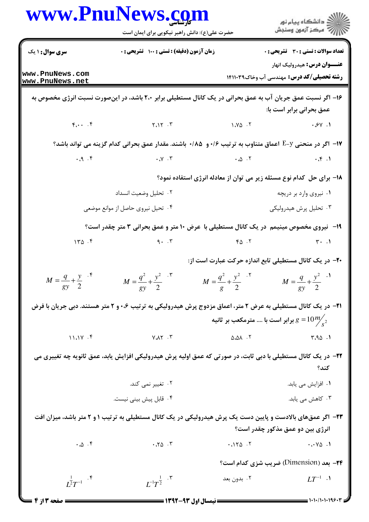|                                      | www.PnuNews.com<br>حضرت علی(ع): دانش راهبر نیکویی برای ایمان است                                                                                                                                                                                                                     |                                                        | ر<br>دانشڪاه پيام نور)<br>اڳ مرڪز آزمون وسنڊش                                           |
|--------------------------------------|--------------------------------------------------------------------------------------------------------------------------------------------------------------------------------------------------------------------------------------------------------------------------------------|--------------------------------------------------------|-----------------------------------------------------------------------------------------|
| <b>سری سوال : ۱ یک</b>               | زمان آزمون (دقیقه) : تستی : 100 تشریحی : 0                                                                                                                                                                                                                                           |                                                        | تعداد سوالات : تستى : 30 قشريحى : 0                                                     |
| www.PnuNews.com<br>www.PnuNews.net   |                                                                                                                                                                                                                                                                                      |                                                        | <b>عنـــوان درس:</b> هيدروليک انهار<br><b>رشته تحصیلی/کد درس:</b> مهندسی آب وخاک1۴۱۱۰۳۹ |
|                                      | ۱۶– اگر نسبت عمق جریان آب به عمق بحرانی در یک کانال مستطیلی برابر ۲،۰ باشد، در اینصورت نسبت انرژی مخصوص به                                                                                                                                                                           |                                                        | عمق بحرانی برابر است با:                                                                |
|                                      | $F_{i} \cdot \cdot \cdot$ $F_{i} \cdot \cdot \cdot$ $F_{i} \cdot \cdot \cdot$                                                                                                                                                                                                        | $\frac{1}{2}$ $\sqrt{2}$ $\sqrt{2}$                    | .9V.1                                                                                   |
|                                      | ۱۷−  اگر در منحنی E−y اعماق متناوب به ترتیب ۱۶+ و ۔۸۵/+ باشند. مقدار عمق بحرانی کدام گزینه می تواند باشد؟                                                                                                                                                                            |                                                        |                                                                                         |
|                                      | $P_1, P_2, P_3, P_4, P_5, P_6, P_7, P_8, P_9, P_1, P_1, P_2, P_1, P_1, P_2, P_1, P_1, P_2, P_1, P_1, P_2, P_1, P_1, P_2, P_1, P_1, P_2, P_2, P_1, P_2, P_1, P_2, P_2, P_1, P_2, P_2, P_2, P_1, P_2, P_2, P_2, P_2, P_1, P_2, P_2, P_2, P_2, P_1, P_2, P_2, P_1, P_2, P_2, P_2, P_2,$ |                                                        |                                                                                         |
|                                      |                                                                                                                                                                                                                                                                                      |                                                        | ۱۸– برای حل کدام نوع مسئله زیر می توان از معادله انرژی استفاده نمود؟                    |
|                                      | ٠٢ تحليل وضعيت انسداد                                                                                                                                                                                                                                                                |                                                        | ۰۱ نیروی وارد بر دریچه                                                                  |
|                                      | ۰۴ تحیل نیروی حاصل از موانع موضعی                                                                                                                                                                                                                                                    |                                                        | ۰۳ تحلیل پرش هیدرولیکی                                                                  |
|                                      | ۱۹- نیروی مخصوص مینیمم در یک کانال مستطیلی با عرض ۱۰ متر و عمق بحرانی ۳ متر چقدر است؟                                                                                                                                                                                                |                                                        |                                                                                         |
| 150.5                                |                                                                                                                                                                                                                                                                                      | $9.7$ $9.7$                                            | $\mathbf{r} \cdot \mathbf{r}$                                                           |
|                                      |                                                                                                                                                                                                                                                                                      | +۲- در یک کانال مستطیلی تابع اندازه حرکت عبارت است از: |                                                                                         |
| $M = \frac{q}{gy} + \frac{y}{2}$ .   | $M = \frac{q^2}{1-q^2} + \frac{y^2}{1-q^2}$<br>$gy = 2$                                                                                                                                                                                                                              | $M = \frac{q^2}{1-q^2} + \frac{y^2}{1-q^2}$<br>$g = 2$ | $M = \frac{q}{1} + \frac{y^2}{1}$<br>$gy \quad 2$                                       |
|                                      | <b>۲۱</b> - در یک کانال مستطیلی به عرض ۲ متر، اعماق مزدوج پرش هیدرولیکی به ترتیب ۰،۶ و ۲ متر هستند. دبی جریان با فرض                                                                                                                                                                 |                                                        |                                                                                         |
|                                      |                                                                                                                                                                                                                                                                                      |                                                        | برابر است با  مترمکعب بر ثانیه $g = 10\frac{m\llap{/}}{s^2}$                            |
| $11.1Y \cdot$                        | Y.AY .Y                                                                                                                                                                                                                                                                              | 0.01.7                                                 | 4.90.1                                                                                  |
|                                      | ۲۲– در یک کانال مستطیلی با دبی ثابت، در صورتی که عمق اولیه پرش هیدرولیکی افزایش یابد، عمق ثانویه چه تغییری می                                                                                                                                                                        |                                                        | كند؟                                                                                    |
|                                      | ۰۲ تغییر نمی کند.                                                                                                                                                                                                                                                                    |                                                        | ۰۱ افزایش می یابد.                                                                      |
|                                      | ۰۴ قابل پیش بینی نیست.                                                                                                                                                                                                                                                               |                                                        | ۰۳ کاهش می یابد.                                                                        |
|                                      | ۲۳- اگر عمقهای بالادست و پایین دست یک پرش هیدرولیکی در یک کانال مستطیلی به ترتیب ۱ و ۲ متر باشد، میزان افت                                                                                                                                                                           |                                                        |                                                                                         |
|                                      |                                                                                                                                                                                                                                                                                      |                                                        | انرژی بین دو عمق مذکور چقدر است؟                                                        |
| $\cdot \omega \cdot f$               | .70.7                                                                                                                                                                                                                                                                                | .110.7                                                 | $\cdots \vee \vartriangle$ .                                                            |
|                                      |                                                                                                                                                                                                                                                                                      |                                                        | <b>۲۴</b> - بعد (Dimension) ضریب شزی کدام است؟                                          |
| $I^{\frac{1}{2}}T^{-1}$ . $^{\circ}$ | $L^{-1}T^{\frac{1}{2}}$ .                                                                                                                                                                                                                                                            | ۰۲ بدون بعد                                            | $LT^{-1}$ .                                                                             |
|                                      |                                                                                                                                                                                                                                                                                      | ــــــــــــــــ نیمسال اول ۹۳-۱۳۹۲ ــــ               |                                                                                         |